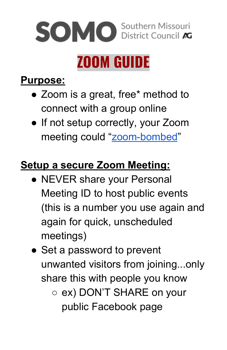

## **Purpose:**

- Zoom is a great, free\* method to connect with a group online
- If not setup correctly, your Zoom meeting could "[zoom-bombed](https://www.fbi.gov/contact-us/field-offices/boston/news/press-releases/fbi-warns-of-teleconferencing-and-online-classroom-hijacking-during-covid-19-pandemic)"

## **Setup a secure Zoom Meeting:**

- NEVER share your Personal Meeting ID to host public events (this is a number you use again and again for quick, unscheduled meetings)
- Set a password to prevent unwanted visitors from joining...only share this with people you know
	- ex) DON'T SHARE on your public Facebook page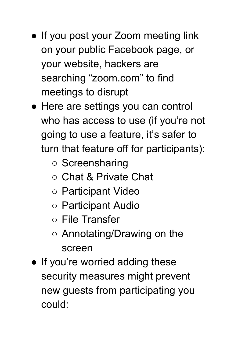- If you post your Zoom meeting link on your public Facebook page, or your website, hackers are searching "zoom.com" to find meetings to disrupt
- Here are settings you can control who has access to use (if you're not going to use a feature, it's safer to turn that feature off for participants):
	- Screensharing
	- Chat & Private Chat
	- Participant Video
	- Participant Audio
	- File Transfer
	- Annotating/Drawing on the screen
- If you're worried adding these security measures might prevent new guests from participating you could: